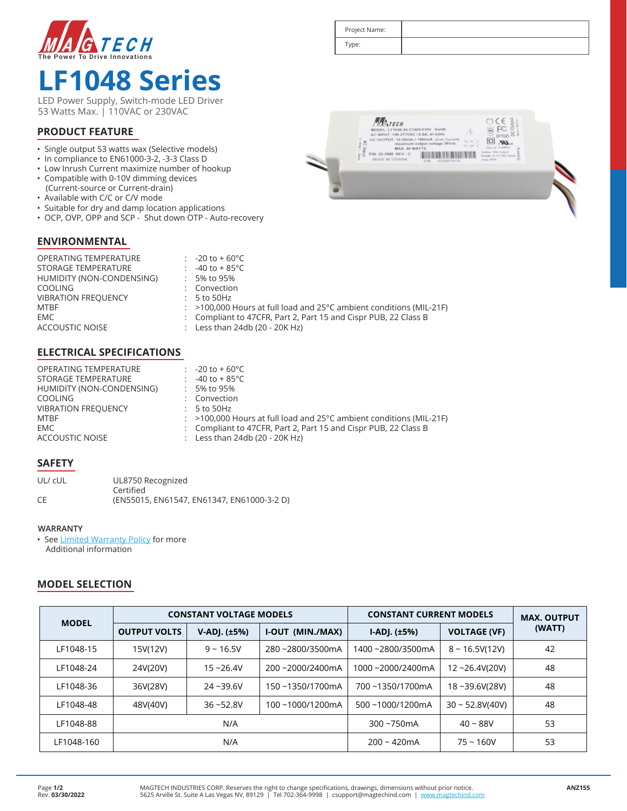

# **LF1048 Series**

LED Power Supply, Switch-mode LED Driver 53 Watts Max. | 110VAC or 230VAC

### **PRODUCT FEATURE**

- Single output 53 watts wax (Selective models)
- In compliance to EN61000-3-2, -3-3 Class D
- Low Inrush Current maximize number of hookup
- Compatible with 0-10V dimming devices (Current-source or Current-drain)
- Available with C/C or C/V mode
- 
- Suitable for dry and damp location applications • OCP, OVP, OPP and SCP - Shut down OTP - Auto-recovery

#### **ENVIRONMENTAL**

OPERATING TEMPERATURE STORAGE TEMPERATURE HUMIDITY (NON-CONDENSING) **COOLING VIBRATION FREQUENCY** MTBF EMC  $\qquad \qquad :$ ACCOUSTIC NOISE -20 to + 60°C  $-40$  to  $+85$ °C 5% to 95% Convection 5 to 50Hz >100,000 Hours at full load and 25°C ambient conditions (MIL-21F) Compliant to 47CFR, Part 2, Part 15 and Cispr PUB, 22 Class B Less than 24db (20 - 20K Hz)

#### **ELECTRICAL SPECIFICATIONS**

| <b>OPERATING TEMPERATURE</b> | $-20$ to + 60°C                                                                  |
|------------------------------|----------------------------------------------------------------------------------|
| STORAGE TEMPERATURE          | -40 to + 85°C                                                                    |
| HUMIDITY (NON-CONDENSING)    | 5% to 95%                                                                        |
| <b>COOLING</b>               | : Convection                                                                     |
| <b>VIBRATION FREQUENCY</b>   | $: 5$ to 50Hz                                                                    |
| MTBF                         | $:$ >100,000 Hours at full load and 25 $^{\circ}$ C ambient conditions (MIL-21F) |
| EMC.                         | : Compliant to 47CFR, Part 2, Part 15 and Cispr PUB, 22 Class B                  |
| ACCOUSTIC NOISE              | : Less than $24db(20 - 20K Hz)$                                                  |

#### **SAFETY**

| UL/ cUL | UL8750 Recognized                          |  |  |  |  |
|---------|--------------------------------------------|--|--|--|--|
|         | Certified                                  |  |  |  |  |
| CE      | (EN55015, EN61547, EN61347, EN61000-3-2 D) |  |  |  |  |

#### **WARRANTY**

• See Limited Warranty Policy for more Additional information

#### **MODEL SELECTION**

| <b>MODEL</b> | <b>CONSTANT VOLTAGE MODELS</b> |              |                  | <b>CONSTANT CURRENT MODELS</b> |                      | <b>MAX. OUTPUT</b> |
|--------------|--------------------------------|--------------|------------------|--------------------------------|----------------------|--------------------|
|              | <b>OUTPUT VOLTS</b>            | V-ADJ. (±5%) | I-OUT (MIN./MAX) | $[-AD]$ . $(\pm 5\%)$          | <b>VOLTAGE (VF)</b>  | (WATT)             |
| LF1048-15    | 15V(12V)                       | $9 - 16.5V$  | 280~2800/3500mA  | 1400~2800/3500mA               | $8 - 16.5V(12V)$     | 42                 |
| LF1048-24    | 24V(20V)                       | $15 - 26.4V$ | 200~2000/2400mA  | 1000~2000/2400mA               | $12 - 26.4V(20V)$    | 48                 |
| LF1048-36    | 36V(28V)                       | $24 - 39.6V$ | 150~1350/1700mA  | 700~1350/1700mA                | 18~39.6V(28V)        | 48                 |
| LF1048-48    | 48V(40V)                       | $36 - 52.8V$ | 100~1000/1200mA  | $500 - 1000/1200 \text{mA}$    | $30 \sim 52.8V(40V)$ | 48                 |
| LF1048-88    |                                | N/A          |                  | $300 - 750$ mA                 | $40 - 88V$           | 53                 |
| LF1048-160   |                                | N/A          |                  | $200 - 420$ mA                 | $75 - 160V$          | 53                 |

| <b>MAGTECH</b><br>ă<br>MODEL: LF1048-24-C1500-010V RoHS<br>79.<br>AC INPUT: 100-277VAC / 0.8A, 47-63Hz<br>DC OUTPUT: 12-26Vdc / 1500mA (Con. Current)<br>o<br>Ta: 50 C<br>AC Input<br>maximum output voltage:26Vdc<br>Į<br>To: 94 G<br><b>SELV EXISTI</b><br>MAX. 48 WATTS<br>E.<br>Yalknic 189' Ovroce.<br>P/N: 20-3908 REV.: C<br>Purple: D +(1-18V input)<br>MADE IN TAIWAN<br>Gray, RTN<br>2003875674<br>SUN. |  |
|-------------------------------------------------------------------------------------------------------------------------------------------------------------------------------------------------------------------------------------------------------------------------------------------------------------------------------------------------------------------------------------------------------------------|--|
|                                                                                                                                                                                                                                                                                                                                                                                                                   |  |